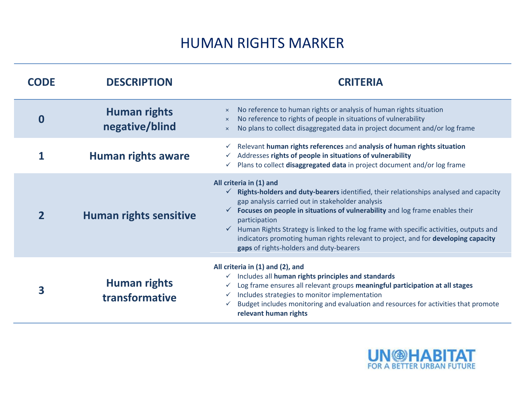## HUMAN RIGHTS MARKER

| <b>CODE</b> | <b>DESCRIPTION</b>                    | <b>CRITERIA</b>                                                                                                                                                                                                                                                                                                                                                                                                                                                                                               |  |  |
|-------------|---------------------------------------|---------------------------------------------------------------------------------------------------------------------------------------------------------------------------------------------------------------------------------------------------------------------------------------------------------------------------------------------------------------------------------------------------------------------------------------------------------------------------------------------------------------|--|--|
| 0           | <b>Human rights</b><br>negative/blind | No reference to human rights or analysis of human rights situation<br>$\times$<br>No reference to rights of people in situations of vulnerability<br>$\times$<br>No plans to collect disaggregated data in project document and/or log frame<br>$\times$                                                                                                                                                                                                                                                      |  |  |
|             | <b>Human rights aware</b>             | Relevant human rights references and analysis of human rights situation<br>Addresses rights of people in situations of vulnerability<br>Plans to collect disaggregated data in project document and/or log frame<br>$\checkmark$                                                                                                                                                                                                                                                                              |  |  |
|             | <b>Human rights sensitive</b>         | All criteria in (1) and<br>$\checkmark$ Rights-holders and duty-bearers identified, their relationships analysed and capacity<br>gap analysis carried out in stakeholder analysis<br>Focuses on people in situations of vulnerability and log frame enables their<br>participation<br>Human Rights Strategy is linked to the log frame with specific activities, outputs and<br>indicators promoting human rights relevant to project, and for developing capacity<br>gaps of rights-holders and duty-bearers |  |  |
| 3           | <b>Human rights</b><br>transformative | All criteria in (1) and (2), and<br>Includes all human rights principles and standards<br>Log frame ensures all relevant groups meaningful participation at all stages<br>Includes strategies to monitor implementation<br>$\checkmark$<br>Budget includes monitoring and evaluation and resources for activities that promote<br>relevant human rights                                                                                                                                                       |  |  |